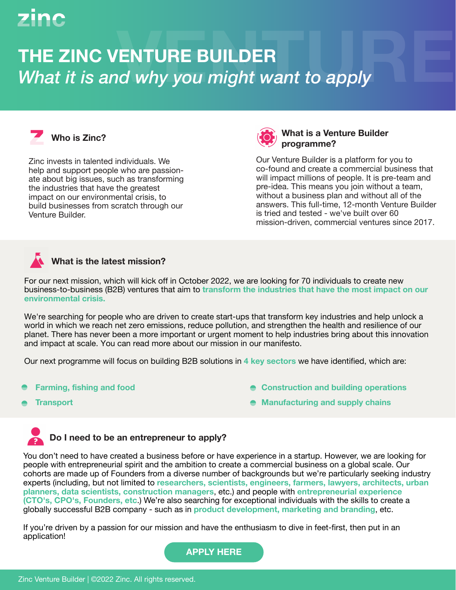# zinc

## **THE ZINC VENTURE BUILDER What it is and why you might want to apply**



Zinc invests in talented individuals. We help and support people who are passionate about big issues, such as transforming the industries that have the greatest impact on our environmental crisis, to build businesses from scratch through our Venture Builder.



#### **Who is Zinc? What is a Venture Builder programme?**

Our Venture Builder is a platform for you to co-found and create a commercial business that will impact millions of people. It is pre-team and pre-idea. This means you join without a team, without a business plan and without all of the answers. This full-time, 12-month Venture Builder is tried and tested - we've built over 60 mission-driven, commercial ventures since 2017.

### **What is the latest mission?**

For our next mission, which will kick off in October 2022, we are looking for 70 individuals to create new business-to-business (B2B) ventures that aim to **transform the industries that have the most impact on our environmental crisis.** 

We're searching for people who are driven to create start-ups that transform key industries and help unlock a world in which we reach net zero emissions, reduce pollution, and strengthen the health and resilience of our planet. There has never been a more important or urgent moment to help industries bring about this innovation and impact at scale. You can read more about our mission in [our manifesto.](https://www.zinc.vc/wp-content/uploads/2022/05/Zinc-Environment-Manifesto.pdf)

Our next programme will focus on building B2B solutions in **4 key sectors** we have identified, which are:

- **Farming, fishing and food**
- **Transport**
- **Construction and building operations**
- **Manufacturing and supply chains**

### **Do I need to be an entrepreneur to apply?**

You don't need to have created a business before or have experience in a startup. However, we are looking for people with entrepreneurial spirit and the ambition to create a commercial business on a global scale. Our cohorts are made up of Founders from a diverse number of backgrounds but we're particularly seeking industry experts (including, but not limited to **researchers, scientists, engineers, farmers, lawyers, architects, urban planners, data scientists, construction managers**, etc.) and people with **entrepreneurial experience (CTO's, CPO's, Founders, etc**.) We're also searching for exceptional individuals with the skills to create a globally successful B2B company - such as in **product development, marketing and branding**, etc.

If you're driven by a passion for our mission and have the enthusiasm to dive in feet-first, then put in an application!

**[APPLY HERE](https://apply.workable.com/zinc-ventures-limited/j/D79DBD1FC7/)**